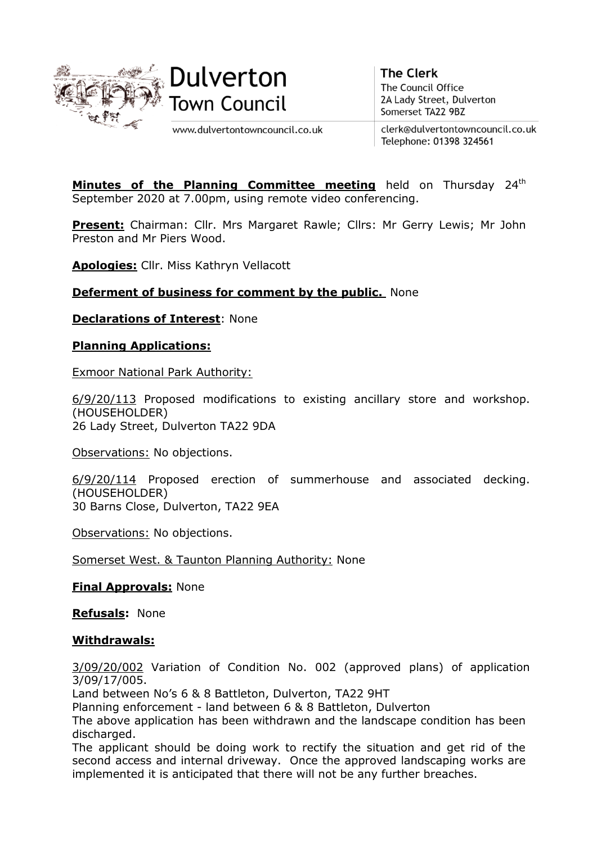



**The Clerk** The Council Office 2A Lady Street, Dulverton Somerset TA22 9BZ

www.dulvertontowncouncil.co.uk

clerk@dulvertontowncouncil.co.uk Telephone: 01398 324561

Minutes of the Planning Committee meeting held on Thursday 24<sup>th</sup> September 2020 at 7.00pm, using remote video conferencing.

**Present:** Chairman: Cllr. Mrs Margaret Rawle; Cllrs: Mr Gerry Lewis; Mr John Preston and Mr Piers Wood.

**Apologies:** Cllr. Miss Kathryn Vellacott

## **Deferment of business for comment by the public.** None

**Declarations of Interest**: None

## **Planning Applications:**

Exmoor National Park Authority:

6/9/20/113 Proposed modifications to existing ancillary store and workshop. (HOUSEHOLDER) 26 Lady Street, Dulverton TA22 9DA

Observations: No objections.

6/9/20/114 Proposed erection of summerhouse and associated decking. (HOUSEHOLDER) 30 Barns Close, Dulverton, TA22 9EA

Observations: No objections.

Somerset West. & Taunton Planning Authority: None

**Final Approvals:** None

**Refusals:** None

## **Withdrawals:**

3/09/20/002 Variation of Condition No. 002 (approved plans) of application 3/09/17/005.

Land between No's 6 & 8 Battleton, Dulverton, TA22 9HT

Planning enforcement - land between 6 & 8 Battleton, Dulverton

The above application has been withdrawn and the landscape condition has been discharged.

The applicant should be doing work to rectify the situation and get rid of the second access and internal driveway. Once the approved landscaping works are implemented it is anticipated that there will not be any further breaches.